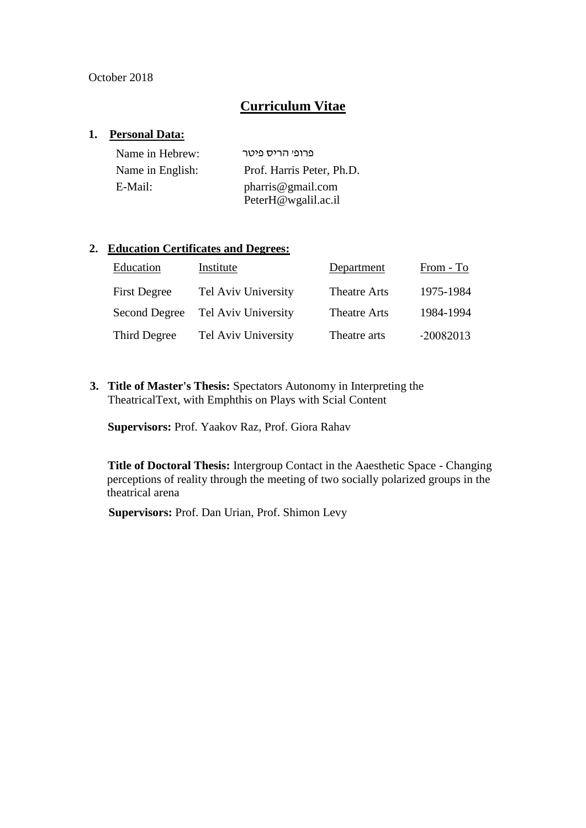#### October 2018

## **Curriculum Vitae**

#### **1. Personal Data:**

| Name in Hebrew:  | פרופי הריס פיטר           |
|------------------|---------------------------|
| Name in English: | Prof. Harris Peter, Ph.D. |
| E-Mail:          | pharris@gmail.com         |
|                  | PeterH@wgalil.ac.il       |

#### **2. Education Certificates and Degrees:**

| Education           | Institute           | Department          | From - To   |
|---------------------|---------------------|---------------------|-------------|
| <b>First Degree</b> | Tel Aviv University | Theatre Arts        | 1975-1984   |
| Second Degree       | Tel Aviv University | <b>Theatre Arts</b> | 1984-1994   |
| Third Degree        | Tel Aviv University | Theatre arts        | $-20082013$ |

**3. Title of Master's Thesis:** Spectators Autonomy in Interpreting the TheatricalText, with Emphthis on Plays with Scial Content

**Supervisors:** Prof. Yaakov Raz, Prof. Giora Rahav

**Title of Doctoral Thesis:** Intergroup Contact in the Aaesthetic Space - Changing perceptions of reality through the meeting of two socially polarized groups in the theatrical arena

**Supervisors:** Prof. Dan Urian, Prof. Shimon Levy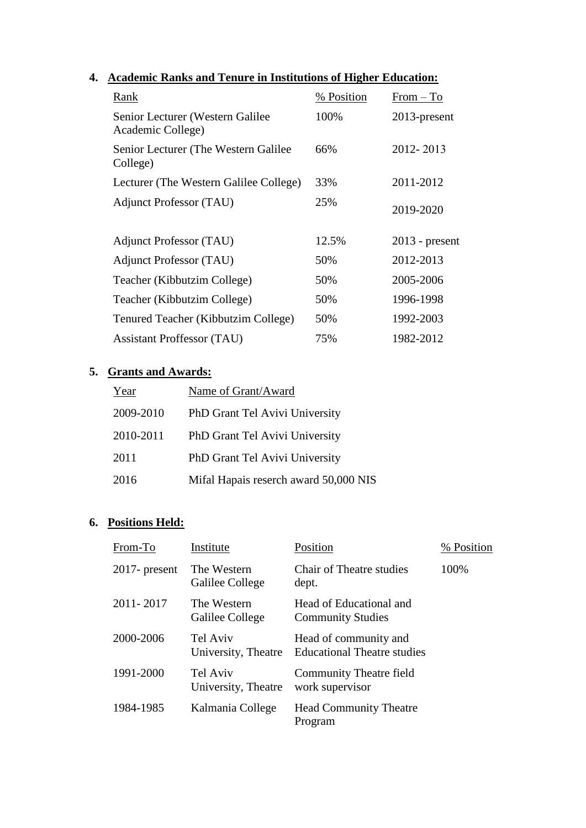# **4. Academic Ranks and Tenure in Institutions of Higher Education:**

| Rank                                                   | % Position | $From - To$      |
|--------------------------------------------------------|------------|------------------|
| Senior Lecturer (Western Galilee)<br>Academic College) | 100%       | $2013$ -present  |
| Senior Lecturer (The Western Galilee)<br>College)      | 66%        | 2012-2013        |
| Lecturer (The Western Galilee College)                 | 33%        | 2011-2012        |
| <b>Adjunct Professor (TAU)</b>                         | 25%        | 2019-2020        |
| <b>Adjunct Professor (TAU)</b>                         | 12.5%      | $2013$ - present |
| <b>Adjunct Professor (TAU)</b>                         | 50%        | 2012-2013        |
| Teacher (Kibbutzim College)                            | 50%        | 2005-2006        |
| Teacher (Kibbutzim College)                            | 50%        | 1996-1998        |
| Tenured Teacher (Kibbutzim College)                    | 50%        | 1992-2003        |
| <b>Assistant Proffessor (TAU)</b>                      | 75%        | 1982-2012        |

## **5. Grants and Awards:**

| Year      | Name of Grant/Award                   |
|-----------|---------------------------------------|
| 2009-2010 | PhD Grant Tel Avivi University        |
| 2010-2011 | PhD Grant Tel Avivi University        |
| 2011      | PhD Grant Tel Avivi University        |
| 2016      | Mifal Hapais reserch award 50,000 NIS |

## **6. Positions Held:**

| From-To          | Institute                       | Position                                                    | % Position |
|------------------|---------------------------------|-------------------------------------------------------------|------------|
| $2017$ - present | The Western<br>Galilee College  | Chair of Theatre studies<br>dept.                           | 100%       |
| 2011-2017        | The Western<br>Galilee College  | Head of Educational and<br><b>Community Studies</b>         |            |
| 2000-2006        | Tel Aviv<br>University, Theatre | Head of community and<br><b>Educational Theatre studies</b> |            |
| 1991-2000        | Tel Aviv<br>University, Theatre | Community Theatre field<br>work supervisor                  |            |
| 1984-1985        | Kalmania College                | <b>Head Community Theatre</b><br>Program                    |            |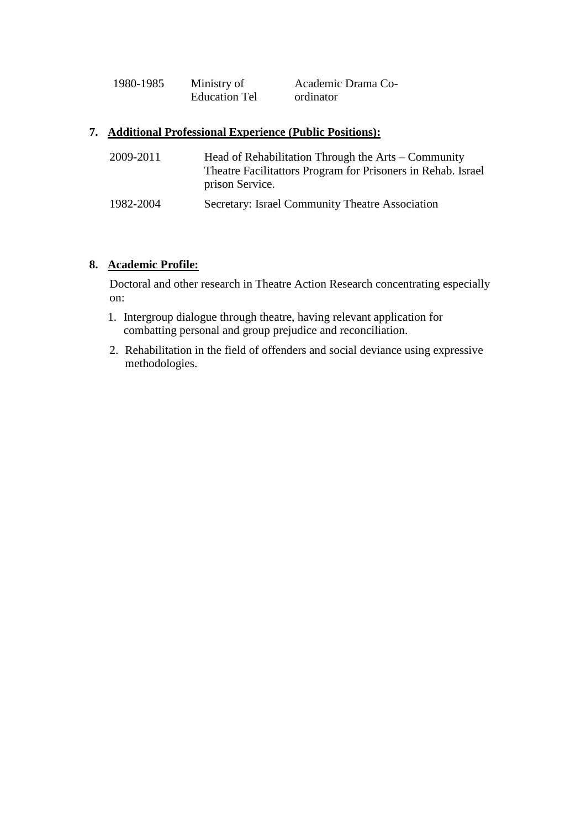| 1980-1985 | Ministry of          | Academic Drama Co- |
|-----------|----------------------|--------------------|
|           | <b>Education Tel</b> | ordinator          |

#### **7. Additional Professional Experience (Public Positions):**

| 2009-2011 | Head of Rehabilitation Through the Arts – Community<br>Theatre Facilitattors Program for Prisoners in Rehab. Israel<br>prison Service. |
|-----------|----------------------------------------------------------------------------------------------------------------------------------------|
| 1982-2004 | Secretary: Israel Community Theatre Association                                                                                        |

#### **8. Academic Profile:**

Doctoral and other research in Theatre Action Research concentrating especially on:

- 1. Intergroup dialogue through theatre, having relevant application for combatting personal and group prejudice and reconciliation.
- 2. Rehabilitation in the field of offenders and social deviance using expressive methodologies.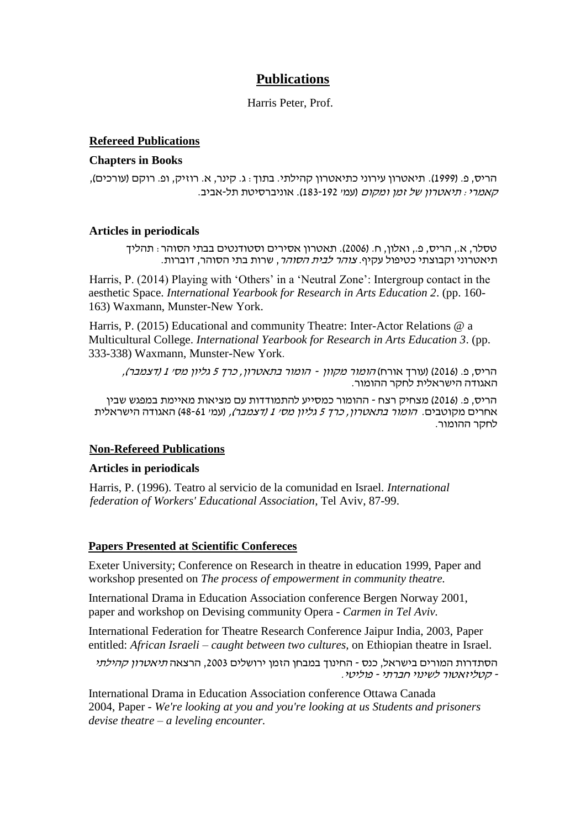## **Publications**

Harris Peter, Prof.

#### **Refereed Publications**

#### **Chapters in Books**

הריס, פ. )1999(. תיאטרון עירוני כתיאטרון קהילתי. בתוך: ג. קינר, א. רוזיק, ופ. רוקם )עורכים(, קאמרי: תיאטרון של זמן ומקום )עמ' 183-192(. אוניברסיטת תל-אביב.

#### **Articles in periodicals**

טסלר, א,. הריס, פ,. ואלון, ח. )2006(. תאטרון אסירים וסטודנטים בבתי הסוהר: תהליך תיאטרוני וקבוצתי כטיפול עקיף. צוהר לבית הסוהר, שרות בתי הסוהר, דוברות.

Harris, P. (2014) Playing with 'Others' in a 'Neutral Zone': Intergroup contact in the aesthetic Space. *International Yearbook for Research in Arts Education 2*. (pp. 160- 163) Waxmann, Munster-New York.

Harris, P. (2015) Educational and community Theatre: Inter-Actor Relations @ a Multicultural College. *International Yearbook for Research in Arts Education 3*. (pp. 333-338) Waxmann, Munster-New York.

הריס, פ. (2016) (עורך אורח) *הומור מקוון - הומור בתאטרון, כרך 5 גליון מסי 1 (דצמבר),* האגודה הישראלית לחקר ההומור.

הריס, פ. )2016( מצחיק רצח - ההומור כמסייע להתמודדות עם מציאות מאיימת במפגש שבין אחרים מקוטבים. *הומור בתאטרון, כרך 5 גליון מס׳ 1 (דצמבר),* (עמ׳ 48-61) האגודה הישראלית לחקר ההומור.

#### **Non-Refereed Publications**

#### **Articles in periodicals**

Harris, P. (1996). Teatro al servicio de la comunidad en Israel. *International federation of Workers' Educational Association*, Tel Aviv, 87-99.

#### **Papers Presented at Scientific Confereces**

Exeter University; Conference on Research in theatre in education 1999, Paper and workshop presented on *The process of empowerment in community theatre.*

International Drama in Education Association conference Bergen Norway 2001, paper and workshop on Devising community Opera - *Carmen in Tel Aviv.*

International Federation for Theatre Research Conference Jaipur India, 2003, Paper entitled: *African Israeli – caught between two cultures,* on Ethiopian theatre in Israel.

הסתדרות המורים בישראל, כנס - החינוך במבחן הזמן ירושלים 2003, הרצאה *תיאטרון קהילתי* - קטליזאטור לשינוי חברתי - פוליטי.

International Drama in Education Association conference Ottawa Canada 2004, Paper - *We're looking at you and you're looking at us Students and prisoners devise theatre – a leveling encounter.*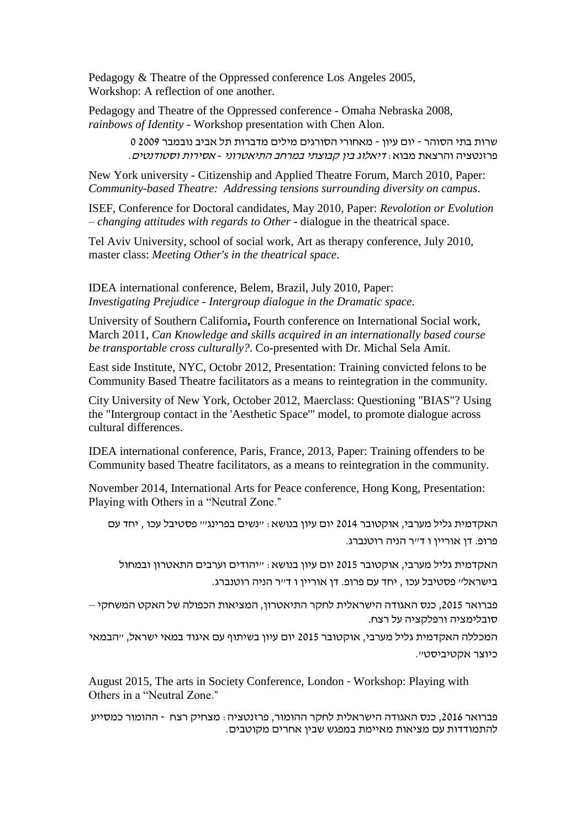Pedagogy & Theatre of the Oppressed conference Los Angeles 2005, Workshop: A reflection of one another.

Pedagogy and Theatre of the Oppressed conference - Omaha Nebraska 2008, *rainbows of Identity* - Workshop presentation with Chen Alon.

> שרות בתי הסוהר - יום עיון - מאחורי הסורגים מילים מדברות תל אביב נובמבר 2009 0 פרזנטציה והרצאת מבוא: דיאלוג בין קבוצתי במרחב התיאטרוני *-* אסירות וסטודנטים.

New York university - Citizenship and Applied Theatre Forum, March 2010, Paper: *Community-based Theatre: Addressing tensions surrounding diversity on campus*.

ISEF, Conference for Doctoral candidates, May 2010, Paper: *Revolotion or Evolution – changing attitudes with regards to Other* - dialogue in the theatrical space.

Tel Aviv University, school of social work, Art as therapy conference, July 2010, master class: *Meeting Other's in the theatrical space*.

IDEA international conference, Belem, Brazil, July 2010, Paper: *Investigating Prejudice - Intergroup dialogue in the Dramatic space*.

University of Southern California**,** Fourth conference on International Social work, March 2011, *Can Knowledge and skills acquired in an internationally based course be transportable cross culturally?*. Co-presented with Dr. Michal Sela Amit.

East side Institute, NYC, Octobr 2012, Presentation: Training convicted felons to be Community Based Theatre facilitators as a means to reintegration in the community.

City University of New York, October 2012, Maerclass: Questioning "BIAS"? Using the "Intergroup contact in the 'Aesthetic Space'" model, to promote dialogue across cultural differences.

IDEA international conference, Paris, France, 2013, Paper: Training offenders to be Community based Theatre facilitators, as a means to reintegration in the community.

November 2014, International Arts for Peace conference, Hong Kong, Presentation: Playing with Others in a "Neutral Zone."

האקדמית גליל מערבי, אוקטובר 2014 יום עיון בנושא: "נשים בפרינג'" פסטיבל עכו , יחד עם פרופ. דן אוריין ו ד״ר הניה רוטנברג.

האקדמית גליל מערבי, אוקטובר 2015 יום עיון בנושא: "יהודים וערבים התאטרון ובמחול בישראל" פסטיבל עכו , יחד עם פרופ. דן אוריין ו ד"ר הניה רוטנברג.

פברואר ,2015 כנס האגודה הישראלית לחקר התיאטרון, המציאות הכפולה של האקט המשחקי – סובלימציה ורפלקציה על רצח.

המכללה האקדמית גליל מערבי, אוקטובר 2015 יום עיון בשיתוף עם איגוד במאי ישראל, "הבמאי כיוצר אקטיביסט".

August 2015, The arts in Society Conference, London - Workshop: Playing with Others in a "Neutral Zone."

פברואר ,2016 כנס האגודה הישראלית לחקר ההומור, פרזנטציה: מצחיק רצח - ההומור כמסייע להתמודדות עם מציאות מאיימת במפגש שבין אחרים מקוטבים.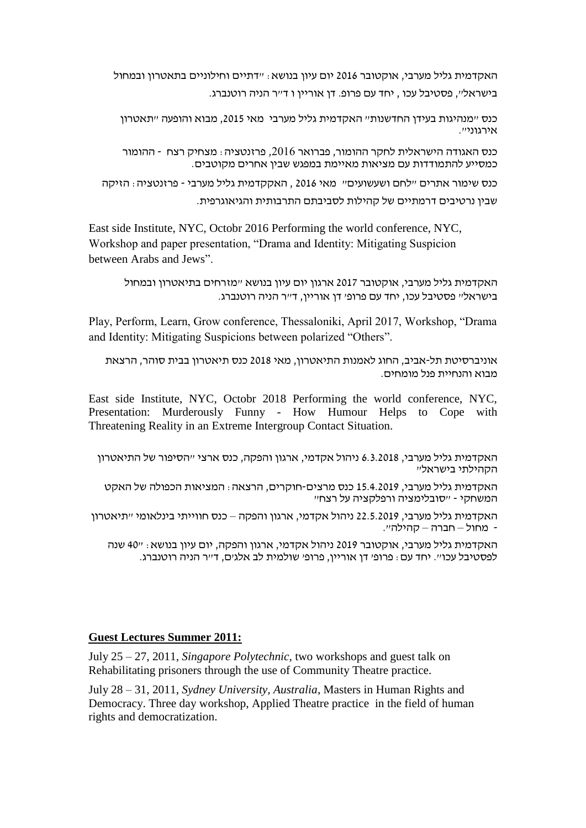האקדמית גליל מערבי, אוקטובר 2016 יום עיון בנושא: "דתיים וחילוניים בתאטרון ובמחול בישראל", פסטיבל עכו , יחד עם פרופ. דן אוריין ו ד"ר הניה רוטנברג.

כנס "מנהיגות בעידן החדשנות" האקדמית גליל מערבי מאי ,2015 מבוא והופעה "תאטרון  $\lambda$ אירגוני".

כנס האגודה הישראלית לחקר ההומור, פברואר ,2016 פרזנטציה: מצחיק רצח - ההומור כמסייע להתמודדות עם מציאות מאיימת במפגש שבין אחרים מקוטבים.

כנס שימור אתרים "לחם ושעשועים" מאי 2016 , האקקדמית גליל מערבי - פרזנטציה: הזיקה שבין נרטיבים דרמתיים של קהילות לסביבתם התרבותית והגיאוגרפית.

East side Institute, NYC, Octobr 2016 Performing the world conference, NYC, Workshop and paper presentation, "Drama and Identity: Mitigating Suspicion between Arabs and Jews".

האקדמית גליל מערבי, אוקטובר 2017 ארגון יום עיון בנושא "מזרחים בתיאטרון ובמחול בישראל" פסטיבל עכו, יחד עם פרופ' דן אוריין, ד"ר הניה רוטנברג.

Play, Perform, Learn, Grow conference, Thessaloniki, April 2017, Workshop, "Drama and Identity: Mitigating Suspicions between polarized "Others".

אוניברסיטת תל-אביב, החוג לאמנות התיאטרון, מאי 2018 כנס תיאטרון בבית סוהר, הרצאת מבוא והנחיית פנל מומחים.

East side Institute, NYC, Octobr 2018 Performing the world conference, NYC, Presentation: Murderously Funny - How Humour Helps to Cope with Threatening Reality in an Extreme Intergroup Contact Situation.

האקדמית גליל מערבי, 6.3.2018 ניהול אקדמי, ארגון והפקה, כנס ארצי "הסיפור של התיאטרון הקהילתי בישראל"

האקדמית גליל מערבי, 15.4.2019 כנס מרצים-חוקרים, הרצאה: המציאות הכפולה של האקט המשחקי - "סובלימציה ורפלקציה על רצח"

האקדמית גליל מערבי, 22.5.2019 ניהול אקדמי, ארגון והפקה – כנס חווייתי בינלאומי "תיאטרון - מחול – חברה – קהילה".

האקדמית גליל מערבי, אוקטובר 2019 ניהול אקדמי, ארגון והפקה, יום עיון בנושא: "40 שנה לפסטיבל עכו". יחד עם: פרופ' דן אוריין, פרופ' שולמית לב אלג'ם, ד"ר הניה רוטנברג.

#### **Guest Lectures Summer 2011:**

July 25 – 27, 2011, *Singapore Polytechnic*, two workshops and guest talk on Rehabilitating prisoners through the use of Community Theatre practice.

July 28 – 31, 2011, *Sydney University, Australia*, Masters in Human Rights and Democracy. Three day workshop, Applied Theatre practice in the field of human rights and democratization.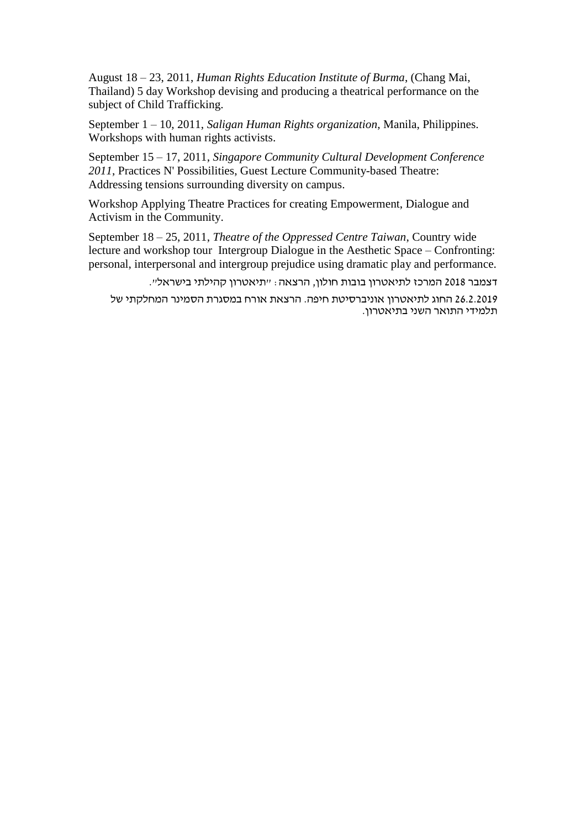August 18 – 23, 2011, *Human Rights Education Institute of Burma*, (Chang Mai, Thailand) 5 day Workshop devising and producing a theatrical performance on the subject of Child Trafficking.

September 1 – 10, 2011, *Saligan Human Rights organization*, Manila, Philippines. Workshops with human rights activists.

September 15 – 17, 2011, *Singapore Community Cultural Development Conference 2011*, Practices N' Possibilities, Guest Lecture Community-based Theatre: Addressing tensions surrounding diversity on campus.

Workshop Applying Theatre Practices for creating Empowerment, Dialogue and Activism in the Community.

September 18 – 25, 2011, *Theatre of the Oppressed Centre Taiwan*, Country wide lecture and workshop tour Intergroup Dialogue in the Aesthetic Space – Confronting: personal, interpersonal and intergroup prejudice using dramatic play and performance.

דצמבר 2018 המרכז לתיאטרון בובות חולון, הרצאה: "תיאטרון קהילתי בישראל".

26.2.2019 החוג לתיאטרון אוניברסיטת חיפה. הרצאת אורח במסגרת הסמינר המחלקתי של תלמידי התואר השני בתיאטרון.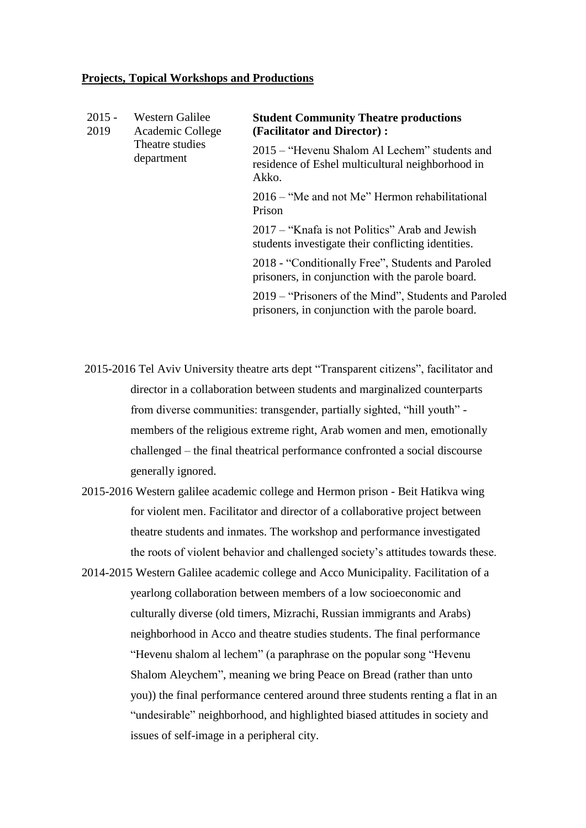#### **Projects, Topical Workshops and Productions**

| $2015 -$<br>Western Galilee<br>2019<br>Academic College<br>Theatre studies<br>department | <b>Student Community Theatre productions</b><br>(Facilitator and Director):                          |                                                                                                            |
|------------------------------------------------------------------------------------------|------------------------------------------------------------------------------------------------------|------------------------------------------------------------------------------------------------------------|
|                                                                                          |                                                                                                      | 2015 – "Hevenu Shalom Al Lechem" students and<br>residence of Eshel multicultural neighborhood in<br>Akko. |
|                                                                                          | 2016 – "Me and not Me" Hermon rehabilitational<br>Prison                                             |                                                                                                            |
|                                                                                          | 2017 – "Knafa is not Politics" Arab and Jewish<br>students investigate their conflicting identities. |                                                                                                            |
|                                                                                          |                                                                                                      | 2018 - "Conditionally Free", Students and Paroled<br>prisoners, in conjunction with the parole board.      |
|                                                                                          |                                                                                                      | 2019 – "Prisoners of the Mind", Students and Paroled<br>prisoners, in conjunction with the parole board.   |

2015-2016 Tel Aviv University theatre arts dept "Transparent citizens", facilitator and director in a collaboration between students and marginalized counterparts from diverse communities: transgender, partially sighted, "hill youth" members of the religious extreme right, Arab women and men, emotionally challenged – the final theatrical performance confronted a social discourse generally ignored.

2015-2016 Western galilee academic college and Hermon prison - Beit Hatikva wing for violent men. Facilitator and director of a collaborative project between theatre students and inmates. The workshop and performance investigated the roots of violent behavior and challenged society's attitudes towards these.

2014-2015 Western Galilee academic college and Acco Municipality. Facilitation of a yearlong collaboration between members of a low socioeconomic and culturally diverse (old timers, Mizrachi, Russian immigrants and Arabs) neighborhood in Acco and theatre studies students. The final performance "Hevenu shalom al lechem" (a paraphrase on the popular song "Hevenu Shalom Aleychem", meaning we bring Peace on Bread (rather than unto you)) the final performance centered around three students renting a flat in an "undesirable" neighborhood, and highlighted biased attitudes in society and issues of self-image in a peripheral city.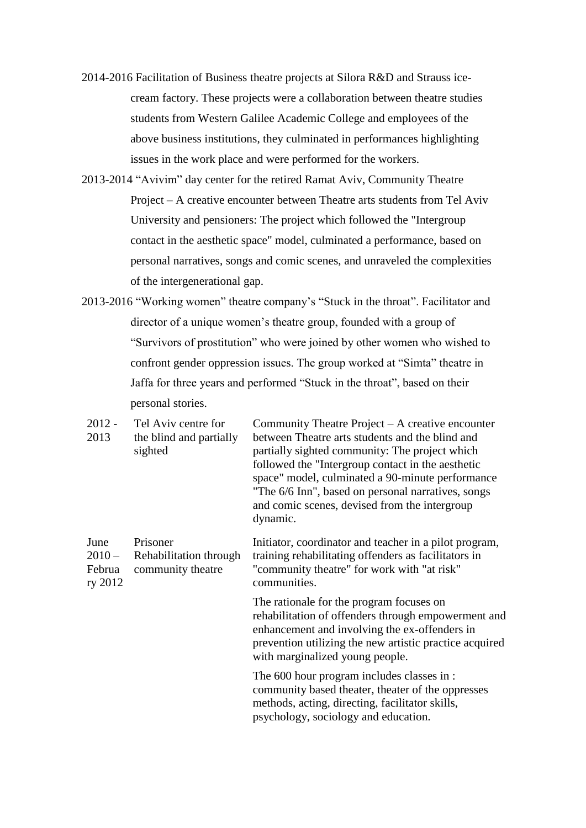- 2014-2016 Facilitation of Business theatre projects at Silora R&D and Strauss icecream factory. These projects were a collaboration between theatre studies students from Western Galilee Academic College and employees of the above business institutions, they culminated in performances highlighting issues in the work place and were performed for the workers.
- 2013-2014 "Avivim" day center for the retired Ramat Aviv, Community Theatre Project – A creative encounter between Theatre arts students from Tel Aviv University and pensioners: The project which followed the "Intergroup contact in the aesthetic space" model, culminated a performance, based on personal narratives, songs and comic scenes, and unraveled the complexities of the intergenerational gap.
- 2013-2016 "Working women" theatre company's "Stuck in the throat". Facilitator and director of a unique women's theatre group, founded with a group of "Survivors of prostitution" who were joined by other women who wished to confront gender oppression issues. The group worked at "Simta" theatre in Jaffa for three years and performed "Stuck in the throat", based on their personal stories.

| 2012 -<br>2013                        | Tel Aviv centre for<br>the blind and partially<br>sighted | Community Theatre Project – A creative encounter<br>between Theatre arts students and the blind and<br>partially sighted community: The project which<br>followed the "Intergroup contact in the aesthetic<br>space" model, culminated a 90-minute performance<br>"The 6/6 Inn", based on personal narratives, songs<br>and comic scenes, devised from the intergroup<br>dynamic. |
|---------------------------------------|-----------------------------------------------------------|-----------------------------------------------------------------------------------------------------------------------------------------------------------------------------------------------------------------------------------------------------------------------------------------------------------------------------------------------------------------------------------|
| June<br>$2010 -$<br>Februa<br>ry 2012 | Prisoner<br>Rehabilitation through<br>community theatre   | Initiator, coordinator and teacher in a pilot program,<br>training rehabilitating offenders as facilitators in<br>"community theatre" for work with "at risk"<br>communities.                                                                                                                                                                                                     |
|                                       |                                                           | The rationale for the program focuses on<br>rehabilitation of offenders through empowerment and<br>enhancement and involving the ex-offenders in<br>prevention utilizing the new artistic practice acquired<br>with marginalized young people.                                                                                                                                    |
|                                       |                                                           | The 600 hour program includes classes in :<br>community based theater, theater of the oppresses<br>methods, acting, directing, facilitator skills,<br>psychology, sociology and education.                                                                                                                                                                                        |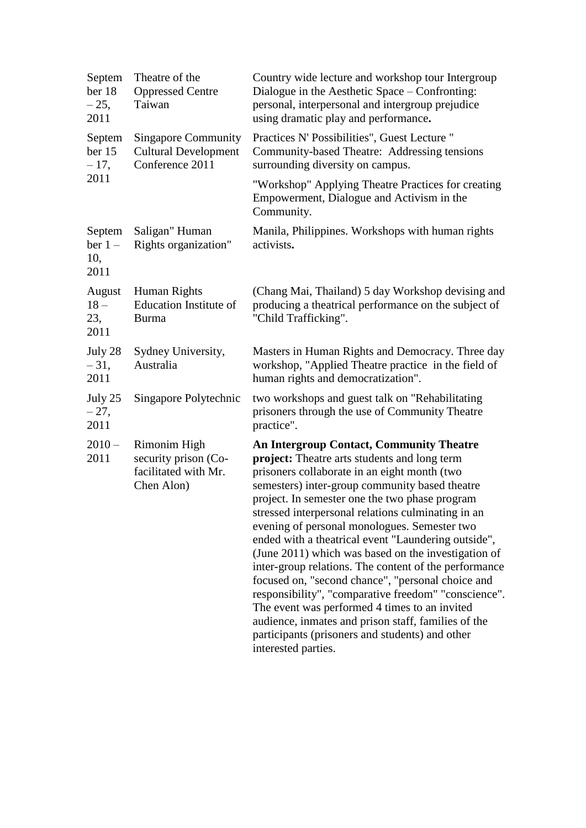| Septem<br>ber 18<br>$-25,$<br>2011 | Theatre of the<br><b>Oppressed Centre</b><br>Taiwan                          | Country wide lecture and workshop tour Intergroup<br>Dialogue in the Aesthetic Space – Confronting:<br>personal, interpersonal and intergroup prejudice<br>using dramatic play and performance.                                                                                                                                                                                                                                                                                                                                                                                                                                                                                                                                                                                                                                 |
|------------------------------------|------------------------------------------------------------------------------|---------------------------------------------------------------------------------------------------------------------------------------------------------------------------------------------------------------------------------------------------------------------------------------------------------------------------------------------------------------------------------------------------------------------------------------------------------------------------------------------------------------------------------------------------------------------------------------------------------------------------------------------------------------------------------------------------------------------------------------------------------------------------------------------------------------------------------|
| Septem<br>ber 15<br>$-17,$         | <b>Singapore Community</b><br><b>Cultural Development</b><br>Conference 2011 | Practices N' Possibilities", Guest Lecture "<br>Community-based Theatre: Addressing tensions<br>surrounding diversity on campus.                                                                                                                                                                                                                                                                                                                                                                                                                                                                                                                                                                                                                                                                                                |
| 2011                               |                                                                              | "Workshop" Applying Theatre Practices for creating<br>Empowerment, Dialogue and Activism in the<br>Community.                                                                                                                                                                                                                                                                                                                                                                                                                                                                                                                                                                                                                                                                                                                   |
| Septem<br>$ber 1 -$<br>10,<br>2011 | Saligan" Human<br>Rights organization"                                       | Manila, Philippines. Workshops with human rights<br>activists.                                                                                                                                                                                                                                                                                                                                                                                                                                                                                                                                                                                                                                                                                                                                                                  |
| August<br>$18-$<br>23,<br>2011     | Human Rights<br>Education Institute of<br><b>Burma</b>                       | (Chang Mai, Thailand) 5 day Workshop devising and<br>producing a theatrical performance on the subject of<br>"Child Trafficking".                                                                                                                                                                                                                                                                                                                                                                                                                                                                                                                                                                                                                                                                                               |
| July 28<br>$-31,$<br>2011          | Sydney University,<br>Australia                                              | Masters in Human Rights and Democracy. Three day<br>workshop, "Applied Theatre practice in the field of<br>human rights and democratization".                                                                                                                                                                                                                                                                                                                                                                                                                                                                                                                                                                                                                                                                                   |
| July 25<br>$-27,$<br>2011          | Singapore Polytechnic                                                        | two workshops and guest talk on "Rehabilitating<br>prisoners through the use of Community Theatre<br>practice".                                                                                                                                                                                                                                                                                                                                                                                                                                                                                                                                                                                                                                                                                                                 |
| $2010 -$<br>2011                   | Rimonim High<br>security prison (Co-<br>facilitated with Mr.<br>Chen Alon)   | <b>An Intergroup Contact, Community Theatre</b><br>project: Theatre arts students and long term<br>prisoners collaborate in an eight month (two<br>semesters) inter-group community based theatre<br>project. In semester one the two phase program<br>stressed interpersonal relations culminating in an<br>evening of personal monologues. Semester two<br>ended with a theatrical event "Laundering outside",<br>(June 2011) which was based on the investigation of<br>inter-group relations. The content of the performance<br>focused on, "second chance", "personal choice and<br>responsibility", "comparative freedom" "conscience".<br>The event was performed 4 times to an invited<br>audience, inmates and prison staff, families of the<br>participants (prisoners and students) and other<br>interested parties. |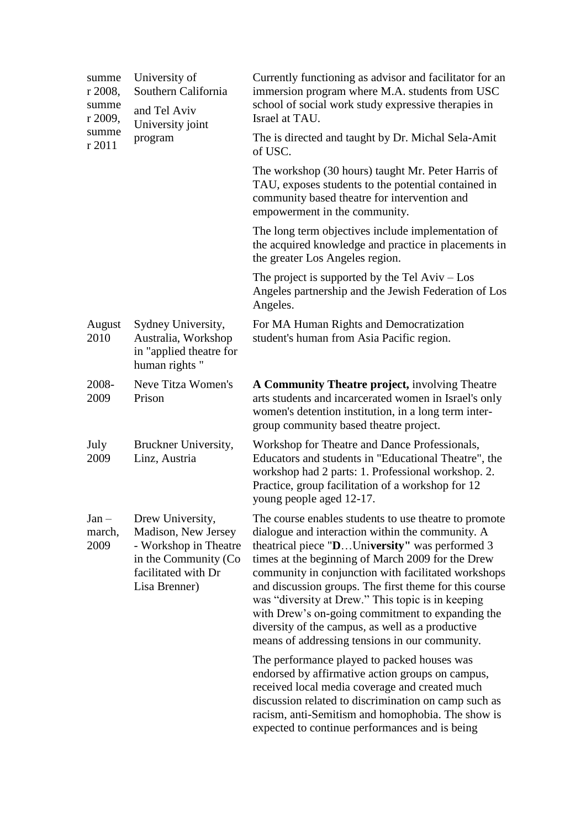| summe<br>r 2008,<br>summe<br>r 2009, | University of<br>Southern California<br>and Tel Aviv<br>University joint                                                          | Currently functioning as advisor and facilitator for an<br>immersion program where M.A. students from USC<br>school of social work study expressive therapies in<br>Israel at TAU.                                                                                                                                                                                                                                                                                                                                                                                                                                                                                                                                                                                                                                                                                            |
|--------------------------------------|-----------------------------------------------------------------------------------------------------------------------------------|-------------------------------------------------------------------------------------------------------------------------------------------------------------------------------------------------------------------------------------------------------------------------------------------------------------------------------------------------------------------------------------------------------------------------------------------------------------------------------------------------------------------------------------------------------------------------------------------------------------------------------------------------------------------------------------------------------------------------------------------------------------------------------------------------------------------------------------------------------------------------------|
| summe<br>r 2011                      | program                                                                                                                           | The is directed and taught by Dr. Michal Sela-Amit<br>of USC.                                                                                                                                                                                                                                                                                                                                                                                                                                                                                                                                                                                                                                                                                                                                                                                                                 |
|                                      |                                                                                                                                   | The workshop (30 hours) taught Mr. Peter Harris of<br>TAU, exposes students to the potential contained in<br>community based theatre for intervention and<br>empowerment in the community.                                                                                                                                                                                                                                                                                                                                                                                                                                                                                                                                                                                                                                                                                    |
|                                      |                                                                                                                                   | The long term objectives include implementation of<br>the acquired knowledge and practice in placements in<br>the greater Los Angeles region.                                                                                                                                                                                                                                                                                                                                                                                                                                                                                                                                                                                                                                                                                                                                 |
|                                      |                                                                                                                                   | The project is supported by the Tel $Aviv - Los$<br>Angeles partnership and the Jewish Federation of Los<br>Angeles.                                                                                                                                                                                                                                                                                                                                                                                                                                                                                                                                                                                                                                                                                                                                                          |
| August<br>2010                       | Sydney University,<br>Australia, Workshop<br>in "applied theatre for<br>human rights"                                             | For MA Human Rights and Democratization<br>student's human from Asia Pacific region.                                                                                                                                                                                                                                                                                                                                                                                                                                                                                                                                                                                                                                                                                                                                                                                          |
| 2008-<br>2009                        | Neve Titza Women's<br>Prison                                                                                                      | A Community Theatre project, involving Theatre<br>arts students and incarcerated women in Israel's only<br>women's detention institution, in a long term inter-<br>group community based theatre project.                                                                                                                                                                                                                                                                                                                                                                                                                                                                                                                                                                                                                                                                     |
| July<br>2009                         | Bruckner University,<br>Linz, Austria                                                                                             | Workshop for Theatre and Dance Professionals,<br>Educators and students in "Educational Theatre", the<br>workshop had 2 parts: 1. Professional workshop. 2.<br>Practice, group facilitation of a workshop for 12<br>young people aged 12-17.                                                                                                                                                                                                                                                                                                                                                                                                                                                                                                                                                                                                                                  |
| $Jan -$<br>march,<br>2009            | Drew University,<br>Madison, New Jersey<br>- Workshop in Theatre<br>in the Community (Co.<br>facilitated with Dr<br>Lisa Brenner) | The course enables students to use theatre to promote<br>dialogue and interaction within the community. A<br>theatrical piece " <b>D</b> University" was performed 3<br>times at the beginning of March 2009 for the Drew<br>community in conjunction with facilitated workshops<br>and discussion groups. The first theme for this course<br>was "diversity at Drew." This topic is in keeping<br>with Drew's on-going commitment to expanding the<br>diversity of the campus, as well as a productive<br>means of addressing tensions in our community.<br>The performance played to packed houses was<br>endorsed by affirmative action groups on campus,<br>received local media coverage and created much<br>discussion related to discrimination on camp such as<br>racism, anti-Semitism and homophobia. The show is<br>expected to continue performances and is being |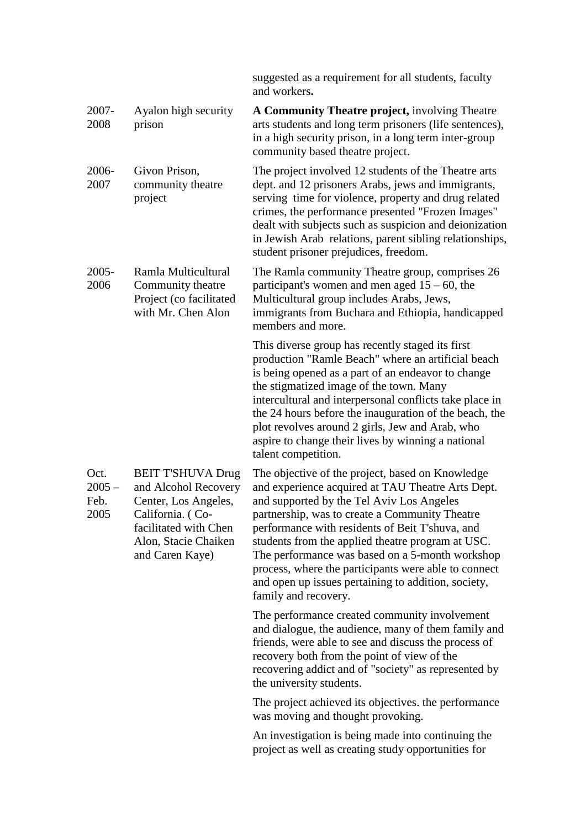|                                  |                                                                                                                                                                  | suggested as a requirement for all students, faculty<br>and workers.                                                                                                                                                                                                                                                                                                                                                                                                                                   |
|----------------------------------|------------------------------------------------------------------------------------------------------------------------------------------------------------------|--------------------------------------------------------------------------------------------------------------------------------------------------------------------------------------------------------------------------------------------------------------------------------------------------------------------------------------------------------------------------------------------------------------------------------------------------------------------------------------------------------|
| $2007 -$<br>2008                 | Ayalon high security<br>prison                                                                                                                                   | A Community Theatre project, involving Theatre<br>arts students and long term prisoners (life sentences),<br>in a high security prison, in a long term inter-group<br>community based theatre project.                                                                                                                                                                                                                                                                                                 |
| 2006-<br>2007                    | Givon Prison,<br>community theatre<br>project                                                                                                                    | The project involved 12 students of the Theatre arts<br>dept. and 12 prisoners Arabs, jews and immigrants,<br>serving time for violence, property and drug related<br>crimes, the performance presented "Frozen Images"<br>dealt with subjects such as suspicion and deionization<br>in Jewish Arab relations, parent sibling relationships,<br>student prisoner prejudices, freedom.                                                                                                                  |
| $2005 -$<br>2006                 | Ramla Multicultural<br>Community theatre<br>Project (co facilitated<br>with Mr. Chen Alon                                                                        | The Ramla community Theatre group, comprises 26<br>participant's women and men aged $15 - 60$ , the<br>Multicultural group includes Arabs, Jews,<br>immigrants from Buchara and Ethiopia, handicapped<br>members and more.                                                                                                                                                                                                                                                                             |
|                                  |                                                                                                                                                                  | This diverse group has recently staged its first<br>production "Ramle Beach" where an artificial beach<br>is being opened as a part of an endeavor to change<br>the stigmatized image of the town. Many<br>intercultural and interpersonal conflicts take place in<br>the 24 hours before the inauguration of the beach, the<br>plot revolves around 2 girls, Jew and Arab, who<br>aspire to change their lives by winning a national<br>talent competition.                                           |
| Oct.<br>$2005 -$<br>Feb.<br>2005 | <b>BEIT T'SHUVA Drug</b><br>and Alcohol Recovery<br>Center, Los Angeles,<br>California. (Co-<br>facilitated with Chen<br>Alon, Stacie Chaiken<br>and Caren Kaye) | The objective of the project, based on Knowledge<br>and experience acquired at TAU Theatre Arts Dept.<br>and supported by the Tel Aviv Los Angeles<br>partnership, was to create a Community Theatre<br>performance with residents of Beit T'shuva, and<br>students from the applied theatre program at USC.<br>The performance was based on a 5-month workshop<br>process, where the participants were able to connect<br>and open up issues pertaining to addition, society,<br>family and recovery. |
|                                  |                                                                                                                                                                  | The performance created community involvement<br>and dialogue, the audience, many of them family and<br>friends, were able to see and discuss the process of<br>recovery both from the point of view of the<br>recovering addict and of "society" as represented by<br>the university students.                                                                                                                                                                                                        |
|                                  |                                                                                                                                                                  | The project achieved its objectives, the performance<br>was moving and thought provoking.                                                                                                                                                                                                                                                                                                                                                                                                              |
|                                  |                                                                                                                                                                  | An investigation is being made into continuing the<br>project as well as creating study opportunities for                                                                                                                                                                                                                                                                                                                                                                                              |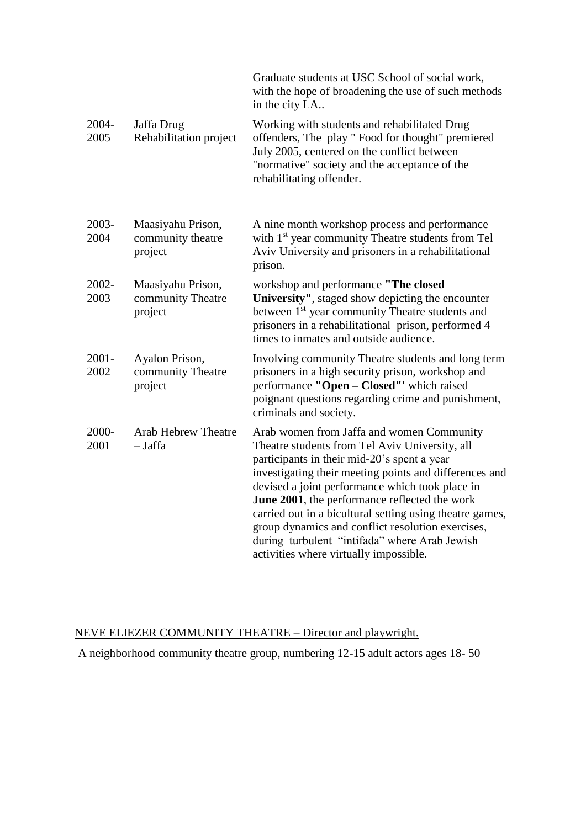|                  |                                                   | Graduate students at USC School of social work,<br>with the hope of broadening the use of such methods<br>in the city LA                                                                                                                                                                                                                                                                                                                                                                                             |
|------------------|---------------------------------------------------|----------------------------------------------------------------------------------------------------------------------------------------------------------------------------------------------------------------------------------------------------------------------------------------------------------------------------------------------------------------------------------------------------------------------------------------------------------------------------------------------------------------------|
| 2004-<br>2005    | Jaffa Drug<br>Rehabilitation project              | Working with students and rehabilitated Drug<br>offenders, The play " Food for thought" premiered<br>July 2005, centered on the conflict between<br>"normative" society and the acceptance of the<br>rehabilitating offender.                                                                                                                                                                                                                                                                                        |
| 2003-<br>2004    | Maasiyahu Prison,<br>community theatre<br>project | A nine month workshop process and performance<br>with 1 <sup>st</sup> year community Theatre students from Tel<br>Aviv University and prisoners in a rehabilitational<br>prison.                                                                                                                                                                                                                                                                                                                                     |
| 2002-<br>2003    | Maasiyahu Prison,<br>community Theatre<br>project | workshop and performance "The closed<br>University", staged show depicting the encounter<br>between 1 <sup>st</sup> year community Theatre students and<br>prisoners in a rehabilitational prison, performed 4<br>times to inmates and outside audience.                                                                                                                                                                                                                                                             |
| $2001 -$<br>2002 | Ayalon Prison,<br>community Theatre<br>project    | Involving community Theatre students and long term<br>prisoners in a high security prison, workshop and<br>performance "Open - Closed" which raised<br>poignant questions regarding crime and punishment,<br>criminals and society.                                                                                                                                                                                                                                                                                  |
| 2000-<br>2001    | <b>Arab Hebrew Theatre</b><br>$-$ Jaffa           | Arab women from Jaffa and women Community<br>Theatre students from Tel Aviv University, all<br>participants in their mid-20's spent a year<br>investigating their meeting points and differences and<br>devised a joint performance which took place in<br>June 2001, the performance reflected the work<br>carried out in a bicultural setting using theatre games,<br>group dynamics and conflict resolution exercises,<br>during turbulent "intifada" where Arab Jewish<br>activities where virtually impossible. |

# NEVE ELIEZER COMMUNITY THEATRE – Director and playwright.

A neighborhood community theatre group, numbering 12-15 adult actors ages 18- 50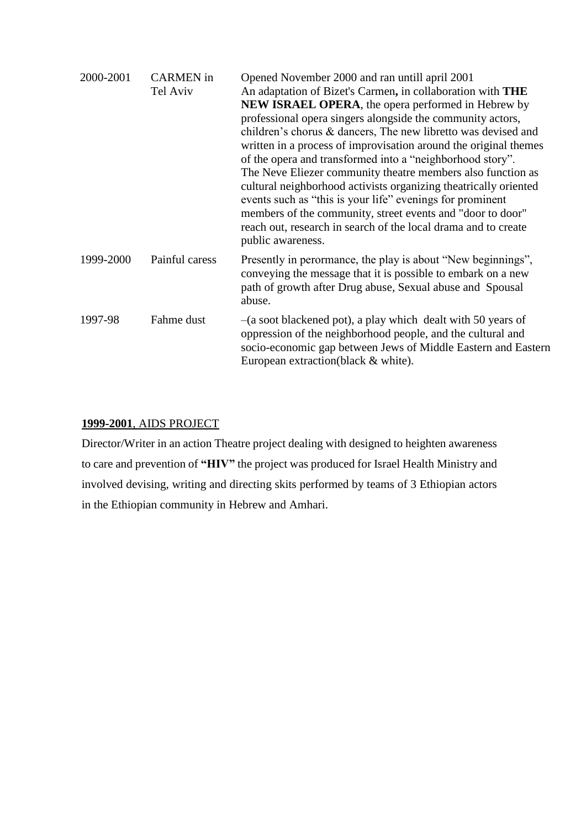| 2000-2001 | <b>CARMEN</b> in<br>Tel Aviv | Opened November 2000 and ran untill april 2001<br>An adaptation of Bizet's Carmen, in collaboration with THE<br><b>NEW ISRAEL OPERA, the opera performed in Hebrew by</b><br>professional opera singers alongside the community actors,<br>children's chorus & dancers, The new libretto was devised and<br>written in a process of improvisation around the original themes<br>of the opera and transformed into a "neighborhood story".<br>The Neve Eliezer community theatre members also function as<br>cultural neighborhood activists organizing theatrically oriented<br>events such as "this is your life" evenings for prominent<br>members of the community, street events and "door to door"<br>reach out, research in search of the local drama and to create<br>public awareness. |
|-----------|------------------------------|------------------------------------------------------------------------------------------------------------------------------------------------------------------------------------------------------------------------------------------------------------------------------------------------------------------------------------------------------------------------------------------------------------------------------------------------------------------------------------------------------------------------------------------------------------------------------------------------------------------------------------------------------------------------------------------------------------------------------------------------------------------------------------------------|
| 1999-2000 | Painful caress               | Presently in perormance, the play is about "New beginnings",<br>conveying the message that it is possible to embark on a new<br>path of growth after Drug abuse, Sexual abuse and Spousal<br>abuse.                                                                                                                                                                                                                                                                                                                                                                                                                                                                                                                                                                                            |
| 1997-98   | Fahme dust                   | $-(a \text{ soot blackened pot})$ , a play which dealt with 50 years of<br>oppression of the neighborhood people, and the cultural and<br>socio-economic gap between Jews of Middle Eastern and Eastern<br>European extraction (black & white).                                                                                                                                                                                                                                                                                                                                                                                                                                                                                                                                                |

### **1999-2001**, AIDS PROJECT

Director/Writer in an action Theatre project dealing with designed to heighten awareness to care and prevention of **"HIV"** the project was produced for Israel Health Ministry and involved devising, writing and directing skits performed by teams of 3 Ethiopian actors in the Ethiopian community in Hebrew and Amhari.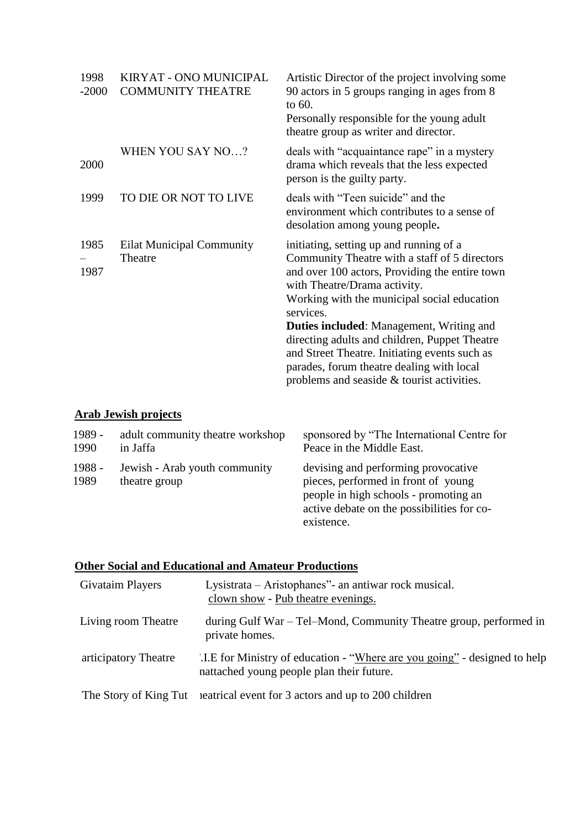| 1998<br>$-2000$ | KIRYAT - ONO MUNICIPAL<br><b>COMMUNITY THEATRE</b> | Artistic Director of the project involving some<br>90 actors in 5 groups ranging in ages from 8<br>to 60.<br>Personally responsible for the young adult<br>theatre group as writer and director.                                                                                                                                                                                                                                                                                       |
|-----------------|----------------------------------------------------|----------------------------------------------------------------------------------------------------------------------------------------------------------------------------------------------------------------------------------------------------------------------------------------------------------------------------------------------------------------------------------------------------------------------------------------------------------------------------------------|
| 2000            | WHEN YOU SAY NO?                                   | deals with "acquaintance rape" in a mystery<br>drama which reveals that the less expected<br>person is the guilty party.                                                                                                                                                                                                                                                                                                                                                               |
| 1999            | TO DIE OR NOT TO LIVE                              | deals with "Teen suicide" and the<br>environment which contributes to a sense of<br>desolation among young people.                                                                                                                                                                                                                                                                                                                                                                     |
| 1985<br>1987    | <b>Eilat Municipal Community</b><br>Theatre        | initiating, setting up and running of a<br>Community Theatre with a staff of 5 directors<br>and over 100 actors, Providing the entire town<br>with Theatre/Drama activity.<br>Working with the municipal social education<br>services.<br><b>Duties included:</b> Management, Writing and<br>directing adults and children, Puppet Theatre<br>and Street Theatre. Initiating events such as<br>parades, forum theatre dealing with local<br>problems and seaside & tourist activities. |

## **Arab Jewish projects**

| 1989 -         | adult community theatre workshop               | sponsored by "The International Centre for                                                                                                                                      |
|----------------|------------------------------------------------|---------------------------------------------------------------------------------------------------------------------------------------------------------------------------------|
| 1990           | in Jaffa                                       | Peace in the Middle East.                                                                                                                                                       |
| 1988 -<br>1989 | Jewish - Arab youth community<br>theatre group | devising and performing provocative<br>pieces, performed in front of young<br>people in high schools - promoting an<br>active debate on the possibilities for co-<br>existence. |

## **Other Social and Educational and Amateur Productions**

| Givataim Players      | Lysistrata – Aristophanes" - an antiwar rock musical.<br>clown show - Pub theatre evenings.                             |
|-----------------------|-------------------------------------------------------------------------------------------------------------------------|
| Living room Theatre   | during Gulf War – Tel–Mond, Community Theatre group, performed in<br>private homes.                                     |
| articipatory Theatre  | '.I.E for Ministry of education - "Where are you going" - designed to help<br>nattached young people plan their future. |
| The Story of King Tut | eatrical event for 3 actors and up to 200 children                                                                      |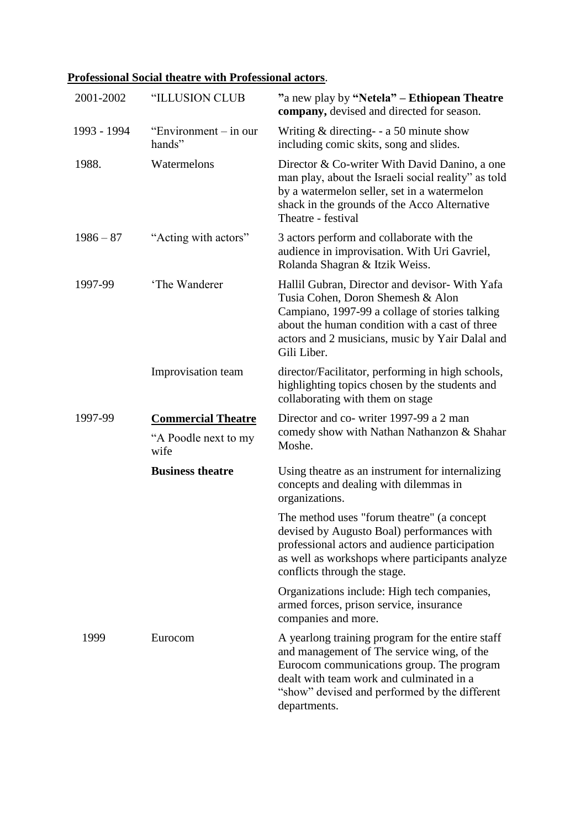# **Professional Social theatre with Professional actors**.

| 2001-2002   | "ILLUSION CLUB                  | "a new play by "Netela" – Ethiopean Theatre<br>company, devised and directed for season.                                                                                                                                                                  |
|-------------|---------------------------------|-----------------------------------------------------------------------------------------------------------------------------------------------------------------------------------------------------------------------------------------------------------|
| 1993 - 1994 | "Environment – in our<br>hands" | Writing $&$ directing- - a 50 minute show<br>including comic skits, song and slides.                                                                                                                                                                      |
| 1988.       | Watermelons                     | Director & Co-writer With David Danino, a one<br>man play, about the Israeli social reality" as told<br>by a watermelon seller, set in a watermelon<br>shack in the grounds of the Acco Alternative<br>Theatre - festival                                 |
| $1986 - 87$ | "Acting with actors"            | 3 actors perform and collaborate with the<br>audience in improvisation. With Uri Gavriel,<br>Rolanda Shagran & Itzik Weiss.                                                                                                                               |
| 1997-99     | 'The Wanderer                   | Hallil Gubran, Director and devisor- With Yafa<br>Tusia Cohen, Doron Shemesh & Alon<br>Campiano, 1997-99 a collage of stories talking<br>about the human condition with a cast of three<br>actors and 2 musicians, music by Yair Dalal and<br>Gili Liber. |
|             | Improvisation team              | director/Facilitator, performing in high schools,<br>highlighting topics chosen by the students and<br>collaborating with them on stage                                                                                                                   |
| 1997-99     | <b>Commercial Theatre</b>       | Director and co- writer 1997-99 a 2 man                                                                                                                                                                                                                   |
|             | "A Poodle next to my<br>wife    | comedy show with Nathan Nathanzon & Shahar<br>Moshe.                                                                                                                                                                                                      |
|             | <b>Business theatre</b>         | Using theatre as an instrument for internalizing<br>concepts and dealing with dilemmas in<br>organizations.                                                                                                                                               |
|             |                                 | The method uses "forum theatre" (a concept<br>devised by Augusto Boal) performances with<br>professional actors and audience participation<br>as well as workshops where participants analyze<br>conflicts through the stage.                             |
|             |                                 | Organizations include: High tech companies,<br>armed forces, prison service, insurance<br>companies and more.                                                                                                                                             |
| 1999        | Eurocom                         | A yearlong training program for the entire staff<br>and management of The service wing, of the<br>Eurocom communications group. The program<br>dealt with team work and culminated in a<br>"show" devised and performed by the different<br>departments.  |